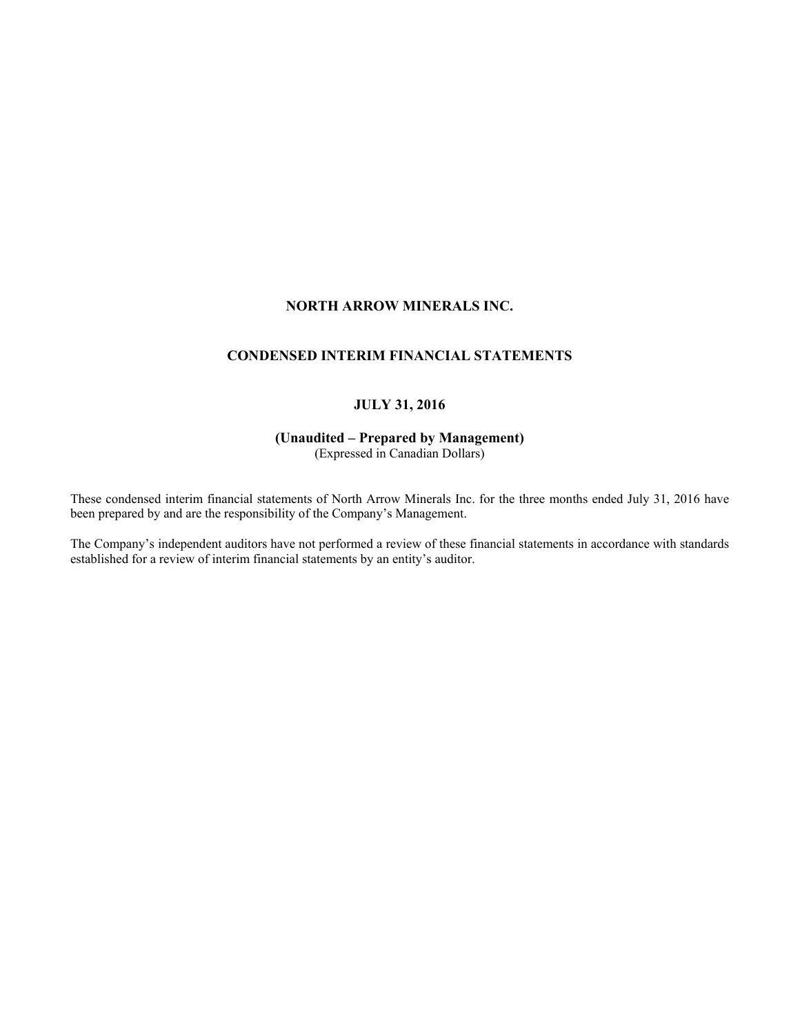# **NORTH ARROW MINERALS INC.**

# **CONDENSED INTERIM FINANCIAL STATEMENTS**

# **JULY 31, 2016**

# **(Unaudited – Prepared by Management)**

(Expressed in Canadian Dollars)

These condensed interim financial statements of North Arrow Minerals Inc. for the three months ended July 31, 2016 have been prepared by and are the responsibility of the Company's Management.

The Company's independent auditors have not performed a review of these financial statements in accordance with standards established for a review of interim financial statements by an entity's auditor.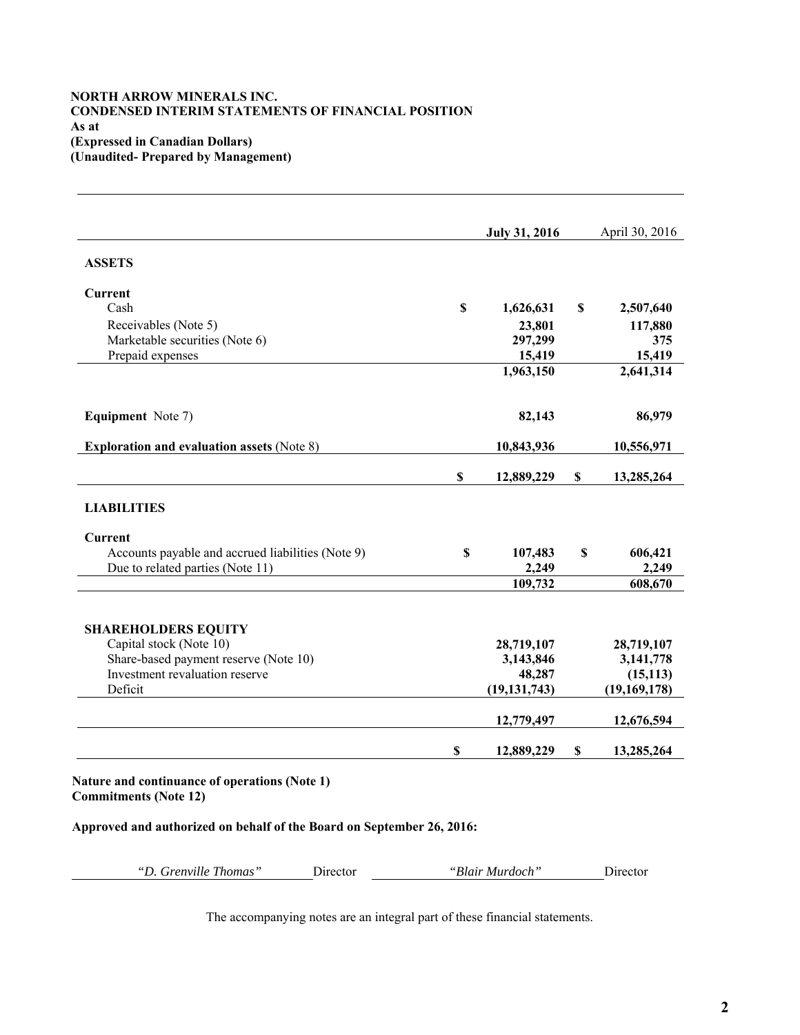# **NORTH ARROW MINERALS INC. CONDENSED INTERIM STATEMENTS OF FINANCIAL POSITION As at (Expressed in Canadian Dollars) (Unaudited- Prepared by Management)**

|                                                   |             | <b>July 31, 2016</b> |    | April 30, 2016 |
|---------------------------------------------------|-------------|----------------------|----|----------------|
| <b>ASSETS</b>                                     |             |                      |    |                |
| Current                                           |             |                      |    |                |
| Cash                                              | $\mathbf S$ | 1,626,631            | S  | 2,507,640      |
| Receivables (Note 5)                              |             | 23,801               |    | 117,880        |
| Marketable securities (Note 6)                    |             | 297,299              |    | 375            |
| Prepaid expenses                                  |             | 15,419               |    | 15,419         |
|                                                   |             | 1,963,150            |    | 2,641,314      |
| <b>Equipment</b> Note 7)                          |             | 82,143               |    | 86,979         |
| <b>Exploration and evaluation assets (Note 8)</b> |             | 10,843,936           |    | 10,556,971     |
|                                                   | \$          | 12,889,229           | \$ | 13,285,264     |
| <b>LIABILITIES</b>                                |             |                      |    |                |
| Current                                           |             |                      |    |                |
| Accounts payable and accrued liabilities (Note 9) | \$          | 107,483              | \$ | 606,421        |
| Due to related parties (Note 11)                  |             | 2,249                |    | 2,249          |
|                                                   |             | 109,732              |    | 608,670        |
| <b>SHAREHOLDERS EQUITY</b>                        |             |                      |    |                |
| Capital stock (Note 10)                           |             | 28,719,107           |    | 28,719,107     |
| Share-based payment reserve (Note 10)             |             | 3,143,846            |    | 3,141,778      |
| Investment revaluation reserve                    |             | 48,287               |    | (15, 113)      |
| Deficit                                           |             | (19, 131, 743)       |    | (19, 169, 178) |
|                                                   |             |                      |    | 12,676,594     |
|                                                   |             | 12,779,497           |    |                |

**Approved and authorized on behalf of the Board on September 26, 2016:**

*"D. Grenville Thomas"* Director *"Blair Murdoch"* Director

The accompanying notes are an integral part of these financial statements.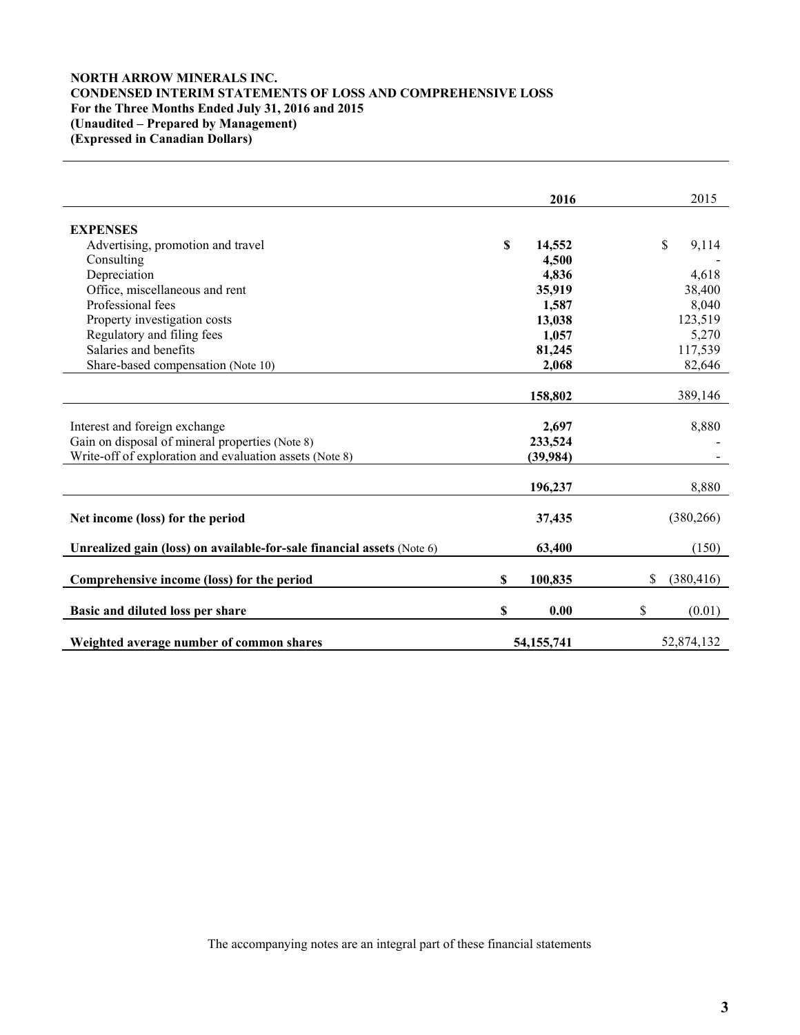# **NORTH ARROW MINERALS INC. CONDENSED INTERIM STATEMENTS OF LOSS AND COMPREHENSIVE LOSS For the Three Months Ended July 31, 2016 and 2015 (Unaudited – Prepared by Management) (Expressed in Canadian Dollars)**

|                                                                        | 2016         | 2015             |
|------------------------------------------------------------------------|--------------|------------------|
|                                                                        |              |                  |
| <b>EXPENSES</b>                                                        |              |                  |
| Advertising, promotion and travel                                      | \$<br>14,552 | \$<br>9,114      |
| Consulting                                                             | 4,500        |                  |
| Depreciation                                                           | 4,836        | 4,618            |
| Office, miscellaneous and rent                                         | 35,919       | 38,400           |
| Professional fees                                                      | 1,587        | 8,040            |
| Property investigation costs                                           | 13,038       | 123,519          |
| Regulatory and filing fees                                             | 1,057        | 5,270            |
| Salaries and benefits                                                  | 81,245       | 117,539          |
| Share-based compensation (Note 10)                                     | 2,068        | 82,646           |
|                                                                        |              |                  |
|                                                                        | 158,802      | 389,146          |
|                                                                        |              |                  |
| Interest and foreign exchange                                          | 2,697        | 8,880            |
| Gain on disposal of mineral properties (Note 8)                        | 233,524      |                  |
| Write-off of exploration and evaluation assets (Note 8)                | (39, 984)    |                  |
|                                                                        |              |                  |
|                                                                        | 196,237      | 8,880            |
| Net income (loss) for the period                                       | 37,435       | (380, 266)       |
|                                                                        |              |                  |
| Unrealized gain (loss) on available-for-sale financial assets (Note 6) | 63,400       | (150)            |
|                                                                        |              |                  |
| Comprehensive income (loss) for the period                             | S<br>100,835 | \$<br>(380, 416) |
|                                                                        | 0.00         |                  |
| Basic and diluted loss per share                                       | \$           | \$<br>(0.01)     |
| Weighted average number of common shares                               | 54, 155, 741 | 52,874,132       |

The accompanying notes are an integral part of these financial statements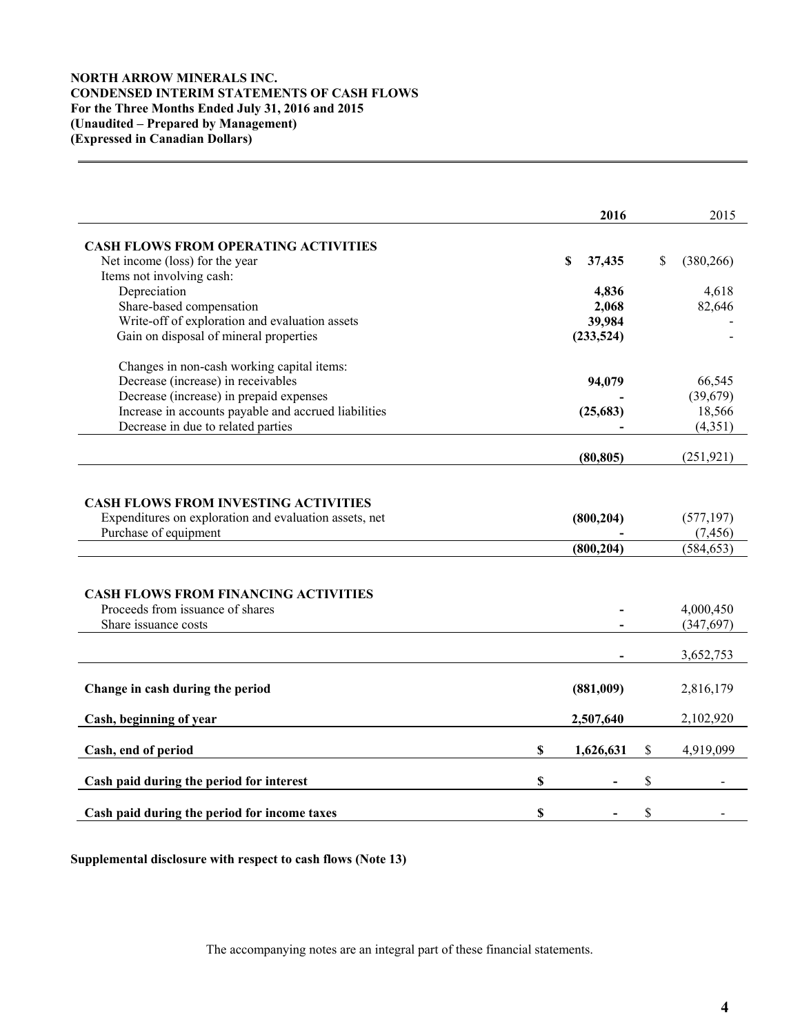# **NORTH ARROW MINERALS INC. CONDENSED INTERIM STATEMENTS OF CASH FLOWS For the Three Months Ended July 31, 2016 and 2015 (Unaudited – Prepared by Management) (Expressed in Canadian Dollars)**

|                                                                                 | 2016                     | 2015                                 |
|---------------------------------------------------------------------------------|--------------------------|--------------------------------------|
| <b>CASH FLOWS FROM OPERATING ACTIVITIES</b>                                     |                          |                                      |
| Net income (loss) for the year                                                  | S<br>37,435              | \$<br>(380, 266)                     |
| Items not involving cash:                                                       |                          |                                      |
| Depreciation                                                                    | 4,836                    | 4,618                                |
| Share-based compensation                                                        | 2,068                    | 82,646                               |
| Write-off of exploration and evaluation assets                                  | 39,984                   |                                      |
| Gain on disposal of mineral properties                                          | (233, 524)               |                                      |
| Changes in non-cash working capital items:                                      |                          |                                      |
| Decrease (increase) in receivables                                              | 94,079                   | 66,545                               |
| Decrease (increase) in prepaid expenses                                         |                          | (39,679)                             |
| Increase in accounts payable and accrued liabilities                            | (25, 683)                | 18,566                               |
| Decrease in due to related parties                                              |                          | (4, 351)                             |
|                                                                                 | (80, 805)                | (251, 921)                           |
| Expenditures on exploration and evaluation assets, net<br>Purchase of equipment | (800, 204)<br>(800, 204) | (577, 197)<br>(7, 456)<br>(584, 653) |
| <b>CASH FLOWS FROM FINANCING ACTIVITIES</b>                                     |                          |                                      |
| Proceeds from issuance of shares                                                |                          | 4,000,450                            |
| Share issuance costs                                                            |                          | (347, 697)                           |
|                                                                                 |                          | 3,652,753                            |
| Change in cash during the period                                                | (881,009)                | 2,816,179                            |
| Cash, beginning of year                                                         | 2,507,640                | 2,102,920                            |
| Cash, end of period                                                             | \$<br>1,626,631          | \$<br>4,919,099                      |
| Cash paid during the period for interest                                        | \$                       | \$                                   |
| Cash paid during the period for income taxes                                    | \$                       | \$                                   |

**Supplemental disclosure with respect to cash flows (Note 13)** 

The accompanying notes are an integral part of these financial statements.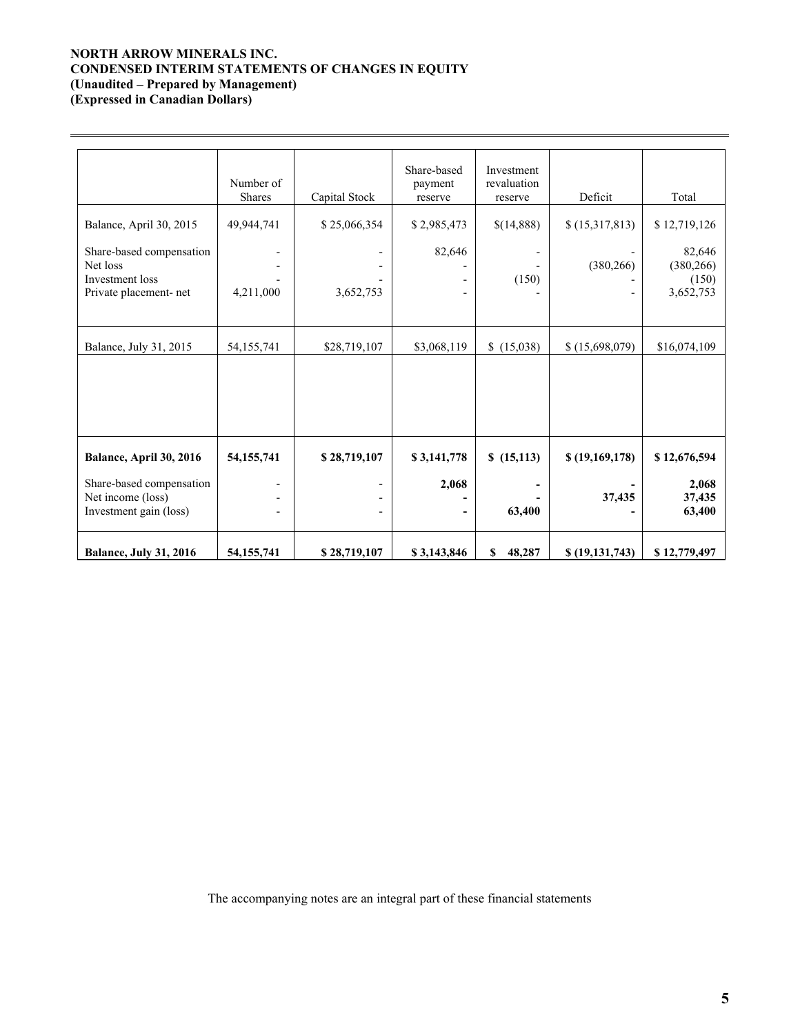# **NORTH ARROW MINERALS INC. CONDENSED INTERIM STATEMENTS OF CHANGES IN EQUITY (Unaudited – Prepared by Management) (Expressed in Canadian Dollars)**

 $\overline{a}$ 

Number of Shares Capital Stock Share-based payment reserve Investment revaluation reserve Deficit Total Balance, April 30, 2015 49,944,741 \$ 25,066,354 \$ 2,985,473 \ \$ (14,888) \$ (15,317,813) \$ 12,719,126 Share-based compensation | - | 82,646 | - | 82,646 | - | 82,646 Net loss - - - - (380,266) (380,266) Investment loss - - - (150) - (150) Private placement- net  $\begin{vmatrix} 4,211,000 \end{vmatrix}$  3,652,753 - - - 3,652,753 Balance, July 31, 2015 54,155,741 \$28,719,107 \$3,068,119 \$ (15,038) \$ (15,698,079) \$16,074,109 **Balance, April 30, 2016 54,155,741 \$ 28,719,107 \$ 3,141,778 \$ (15,113) \$ (19,169,178) \$ 12,676,594**  Share-based compensation **- 1.2,068** - 2,068 - 2,068 - 2,068 - 2,068 - 2,068 - 2,068 - 2,068 - 2,068 - 2,068 - 2,068 - 2,068 - 2,068 - 2,068 - 2,068 - 2,068 - 2,068 - 2,068 - 2,068 - 2,068 - 2,068 - 2,068 - 2,068 - 2,068 -Net income (loss) - - **- - 37,435 37,435**  Investment gain (loss)  $\qquad \qquad \qquad \qquad -$ 

Balance, July 31, 2016 **54,155,741** \$ 28,719,107 **\$ 3,143,846** \$ 48,287 \$ (19,131,743) \$ 12,779,497

The accompanying notes are an integral part of these financial statements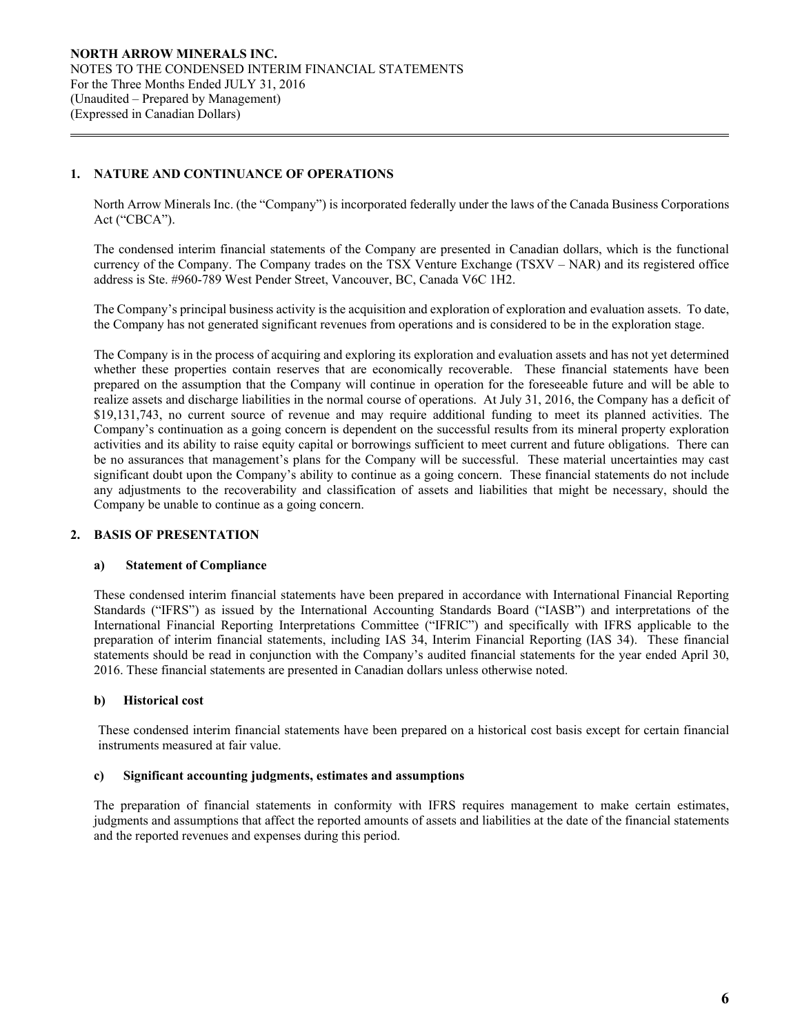# **1. NATURE AND CONTINUANCE OF OPERATIONS**

 $\overline{a}$ 

North Arrow Minerals Inc. (the "Company") is incorporated federally under the laws of the Canada Business Corporations Act ("CBCA").

The condensed interim financial statements of the Company are presented in Canadian dollars, which is the functional currency of the Company. The Company trades on the TSX Venture Exchange (TSXV – NAR) and its registered office address is Ste. #960-789 West Pender Street, Vancouver, BC, Canada V6C 1H2.

The Company's principal business activity is the acquisition and exploration of exploration and evaluation assets. To date, the Company has not generated significant revenues from operations and is considered to be in the exploration stage.

The Company is in the process of acquiring and exploring its exploration and evaluation assets and has not yet determined whether these properties contain reserves that are economically recoverable. These financial statements have been prepared on the assumption that the Company will continue in operation for the foreseeable future and will be able to realize assets and discharge liabilities in the normal course of operations. At July 31, 2016, the Company has a deficit of \$19,131,743, no current source of revenue and may require additional funding to meet its planned activities. The Company's continuation as a going concern is dependent on the successful results from its mineral property exploration activities and its ability to raise equity capital or borrowings sufficient to meet current and future obligations. There can be no assurances that management's plans for the Company will be successful. These material uncertainties may cast significant doubt upon the Company's ability to continue as a going concern. These financial statements do not include any adjustments to the recoverability and classification of assets and liabilities that might be necessary, should the Company be unable to continue as a going concern.

# **2. BASIS OF PRESENTATION**

# **a) Statement of Compliance**

These condensed interim financial statements have been prepared in accordance with International Financial Reporting Standards ("IFRS") as issued by the International Accounting Standards Board ("IASB") and interpretations of the International Financial Reporting Interpretations Committee ("IFRIC") and specifically with IFRS applicable to the preparation of interim financial statements, including IAS 34, Interim Financial Reporting (IAS 34). These financial statements should be read in conjunction with the Company's audited financial statements for the year ended April 30, 2016. These financial statements are presented in Canadian dollars unless otherwise noted.

# **b) Historical cost**

These condensed interim financial statements have been prepared on a historical cost basis except for certain financial instruments measured at fair value.

#### **c) Significant accounting judgments, estimates and assumptions**

The preparation of financial statements in conformity with IFRS requires management to make certain estimates, judgments and assumptions that affect the reported amounts of assets and liabilities at the date of the financial statements and the reported revenues and expenses during this period.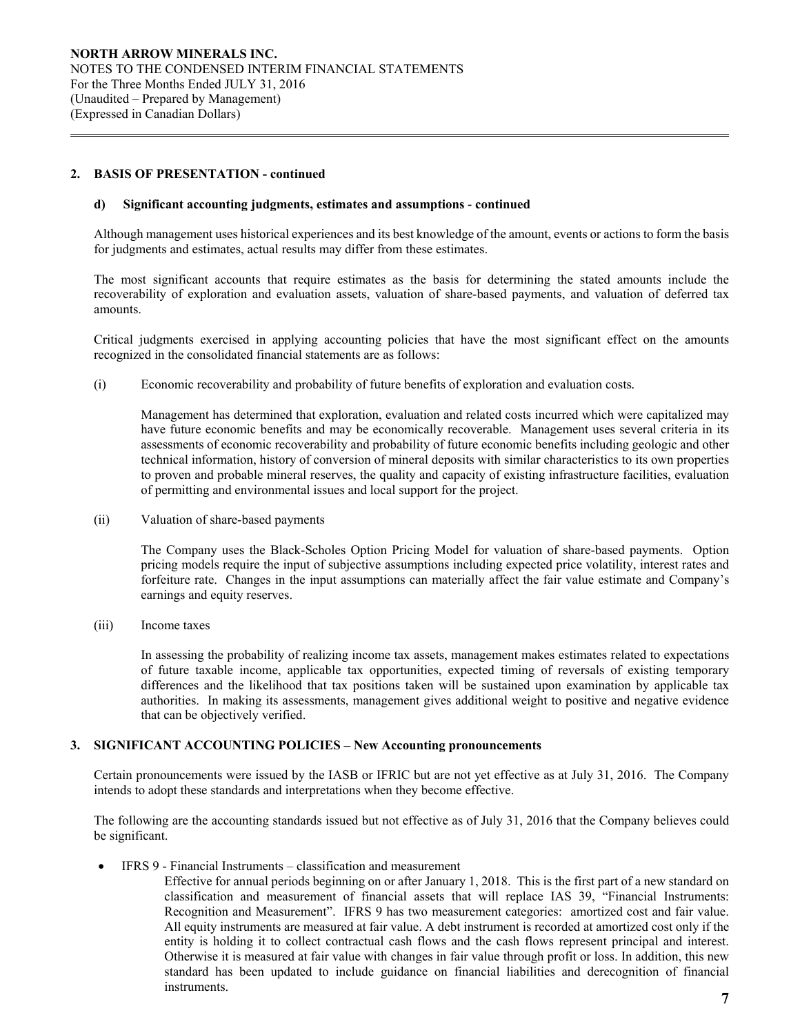# **2. BASIS OF PRESENTATION - continued**

 $\overline{a}$ 

#### **d) Significant accounting judgments, estimates and assumptions** *-* **continued**

Although management uses historical experiences and its best knowledge of the amount, events or actions to form the basis for judgments and estimates, actual results may differ from these estimates.

The most significant accounts that require estimates as the basis for determining the stated amounts include the recoverability of exploration and evaluation assets, valuation of share-based payments, and valuation of deferred tax amounts.

Critical judgments exercised in applying accounting policies that have the most significant effect on the amounts recognized in the consolidated financial statements are as follows:

(i) Economic recoverability and probability of future benefits of exploration and evaluation costs*.* 

 Management has determined that exploration, evaluation and related costs incurred which were capitalized may have future economic benefits and may be economically recoverable. Management uses several criteria in its assessments of economic recoverability and probability of future economic benefits including geologic and other technical information, history of conversion of mineral deposits with similar characteristics to its own properties to proven and probable mineral reserves, the quality and capacity of existing infrastructure facilities, evaluation of permitting and environmental issues and local support for the project.

(ii) Valuation of share-based payments

The Company uses the Black-Scholes Option Pricing Model for valuation of share-based payments. Option pricing models require the input of subjective assumptions including expected price volatility, interest rates and forfeiture rate. Changes in the input assumptions can materially affect the fair value estimate and Company's earnings and equity reserves.

(iii) Income taxes

In assessing the probability of realizing income tax assets, management makes estimates related to expectations of future taxable income, applicable tax opportunities, expected timing of reversals of existing temporary differences and the likelihood that tax positions taken will be sustained upon examination by applicable tax authorities. In making its assessments, management gives additional weight to positive and negative evidence that can be objectively verified.

#### **3. SIGNIFICANT ACCOUNTING POLICIES – New Accounting pronouncements**

Certain pronouncements were issued by the IASB or IFRIC but are not yet effective as at July 31, 2016. The Company intends to adopt these standards and interpretations when they become effective.

The following are the accounting standards issued but not effective as of July 31, 2016 that the Company believes could be significant.

IFRS 9 - Financial Instruments – classification and measurement

Effective for annual periods beginning on or after January 1, 2018. This is the first part of a new standard on classification and measurement of financial assets that will replace IAS 39, "Financial Instruments: Recognition and Measurement". IFRS 9 has two measurement categories: amortized cost and fair value. All equity instruments are measured at fair value. A debt instrument is recorded at amortized cost only if the entity is holding it to collect contractual cash flows and the cash flows represent principal and interest. Otherwise it is measured at fair value with changes in fair value through profit or loss. In addition, this new standard has been updated to include guidance on financial liabilities and derecognition of financial instruments.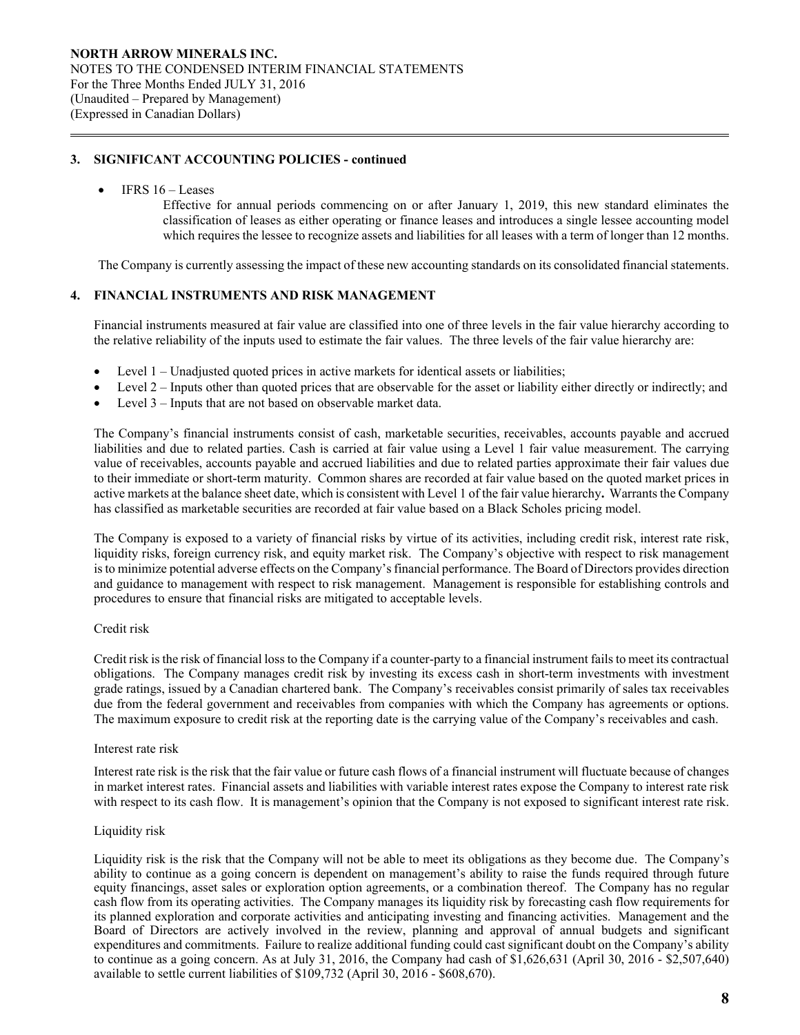# **3. SIGNIFICANT ACCOUNTING POLICIES - continued**

#### IFRS 16 – Leases

 $\overline{a}$ 

Effective for annual periods commencing on or after January 1, 2019, this new standard eliminates the classification of leases as either operating or finance leases and introduces a single lessee accounting model which requires the lessee to recognize assets and liabilities for all leases with a term of longer than 12 months.

The Company is currently assessing the impact of these new accounting standards on its consolidated financial statements.

# **4. FINANCIAL INSTRUMENTS AND RISK MANAGEMENT**

Financial instruments measured at fair value are classified into one of three levels in the fair value hierarchy according to the relative reliability of the inputs used to estimate the fair values. The three levels of the fair value hierarchy are:

- Level 1 Unadjusted quoted prices in active markets for identical assets or liabilities;
- Level 2 Inputs other than quoted prices that are observable for the asset or liability either directly or indirectly; and
- Level 3 Inputs that are not based on observable market data.

The Company's financial instruments consist of cash, marketable securities, receivables, accounts payable and accrued liabilities and due to related parties. Cash is carried at fair value using a Level 1 fair value measurement. The carrying value of receivables, accounts payable and accrued liabilities and due to related parties approximate their fair values due to their immediate or short-term maturity. Common shares are recorded at fair value based on the quoted market prices in active markets at the balance sheet date, which is consistent with Level 1 of the fair value hierarchy**.** Warrants the Company has classified as marketable securities are recorded at fair value based on a Black Scholes pricing model.

The Company is exposed to a variety of financial risks by virtue of its activities, including credit risk, interest rate risk, liquidity risks, foreign currency risk, and equity market risk. The Company's objective with respect to risk management is to minimize potential adverse effects on the Company's financial performance. The Board of Directors provides direction and guidance to management with respect to risk management. Management is responsible for establishing controls and procedures to ensure that financial risks are mitigated to acceptable levels.

#### Credit risk

Credit risk is the risk of financial loss to the Company if a counter-party to a financial instrument fails to meet its contractual obligations. The Company manages credit risk by investing its excess cash in short-term investments with investment grade ratings, issued by a Canadian chartered bank. The Company's receivables consist primarily of sales tax receivables due from the federal government and receivables from companies with which the Company has agreements or options. The maximum exposure to credit risk at the reporting date is the carrying value of the Company's receivables and cash.

#### Interest rate risk

Interest rate risk is the risk that the fair value or future cash flows of a financial instrument will fluctuate because of changes in market interest rates. Financial assets and liabilities with variable interest rates expose the Company to interest rate risk with respect to its cash flow. It is management's opinion that the Company is not exposed to significant interest rate risk.

#### Liquidity risk

Liquidity risk is the risk that the Company will not be able to meet its obligations as they become due. The Company's ability to continue as a going concern is dependent on management's ability to raise the funds required through future equity financings, asset sales or exploration option agreements, or a combination thereof. The Company has no regular cash flow from its operating activities. The Company manages its liquidity risk by forecasting cash flow requirements for its planned exploration and corporate activities and anticipating investing and financing activities. Management and the Board of Directors are actively involved in the review, planning and approval of annual budgets and significant expenditures and commitments. Failure to realize additional funding could cast significant doubt on the Company's ability to continue as a going concern. As at July 31, 2016, the Company had cash of \$1,626,631 (April 30, 2016 - \$2,507,640) available to settle current liabilities of \$109,732 (April 30, 2016 - \$608,670).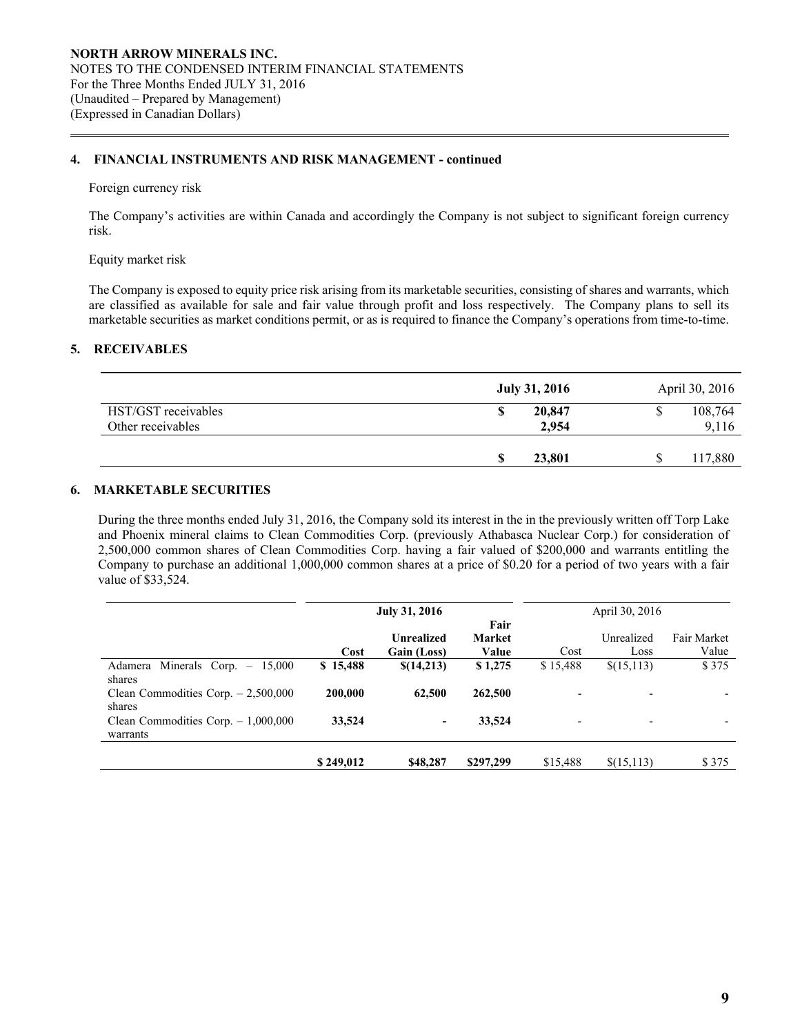# **4. FINANCIAL INSTRUMENTS AND RISK MANAGEMENT - continued**

#### Foreign currency risk

 $\overline{a}$ 

 The Company's activities are within Canada and accordingly the Company is not subject to significant foreign currency risk.

# Equity market risk

The Company is exposed to equity price risk arising from its marketable securities, consisting of shares and warrants, which are classified as available for sale and fair value through profit and loss respectively. The Company plans to sell its marketable securities as market conditions permit, or as is required to finance the Company's operations from time-to-time.

# **5. RECEIVABLES**

|                                          | <b>July 31, 2016</b>      | April 30, 2016   |
|------------------------------------------|---------------------------|------------------|
| HST/GST receivables<br>Other receivables | 20,847<br>œ<br>D<br>2,954 | 108,764<br>9,116 |
|                                          | 23,801<br>S               | 117,880          |

# **6. MARKETABLE SECURITIES**

During the three months ended July 31, 2016, the Company sold its interest in the in the previously written off Torp Lake and Phoenix mineral claims to Clean Commodities Corp. (previously Athabasca Nuclear Corp.) for consideration of 2,500,000 common shares of Clean Commodities Corp. having a fair valued of \$200,000 and warrants entitling the Company to purchase an additional 1,000,000 common shares at a price of \$0.20 for a period of two years with a fair value of \$33,524.

|                                                   |           | <b>July 31, 2016</b>      |                                |                          | April 30, 2016     |                      |
|---------------------------------------------------|-----------|---------------------------|--------------------------------|--------------------------|--------------------|----------------------|
|                                                   | Cost      | Unrealized<br>Gain (Loss) | Fair<br><b>Market</b><br>Value | Cost                     | Unrealized<br>Loss | Fair Market<br>Value |
| Minerals Corp. $-$<br>15.000<br>Adamera<br>shares | \$15,488  | \$(14,213)                | \$1,275                        | \$15,488                 | \$(15,113)         | \$375                |
| Clean Commodities Corp. $-2,500,000$<br>shares    | 200,000   | 62,500                    | 262,500                        | $\overline{\phantom{a}}$ |                    |                      |
| Clean Commodities Corp. $-1,000,000$<br>warrants  | 33,524    | $\overline{\phantom{a}}$  | 33,524                         | -                        |                    |                      |
|                                                   | \$249,012 | \$48,287                  | \$297,299                      | \$15,488                 | \$(15,113)         | \$375                |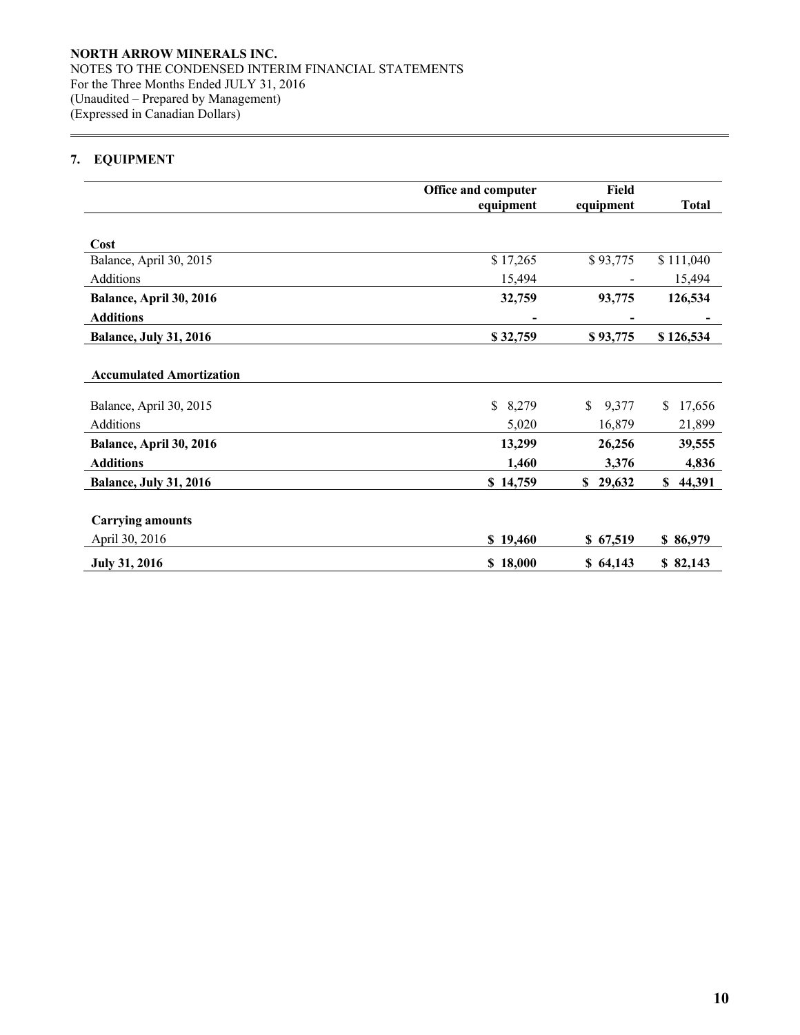# **7. EQUIPMENT**

 $\overline{a}$ 

|                                 | Office and computer | Field       |              |
|---------------------------------|---------------------|-------------|--------------|
|                                 | equipment           | equipment   | <b>Total</b> |
|                                 |                     |             |              |
| Cost                            |                     |             |              |
| Balance, April 30, 2015         | \$17,265            | \$93,775    | \$111,040    |
| Additions                       | 15,494              |             | 15,494       |
| Balance, April 30, 2016         | 32,759              | 93,775      | 126,534      |
| <b>Additions</b>                |                     |             |              |
| <b>Balance, July 31, 2016</b>   | \$32,759            | \$93,775    | \$126,534    |
|                                 |                     |             |              |
| <b>Accumulated Amortization</b> |                     |             |              |
| Balance, April 30, 2015         | \$<br>8,279         | 9,377<br>\$ | \$<br>17,656 |
| Additions                       | 5,020               | 16,879      | 21,899       |
| Balance, April 30, 2016         | 13,299              | 26,256      | 39,555       |
| <b>Additions</b>                | 1,460               | 3,376       | 4,836        |
| <b>Balance, July 31, 2016</b>   | \$14,759            | \$29,632    | 44,391<br>\$ |
|                                 |                     |             |              |
| <b>Carrying amounts</b>         |                     |             |              |
| April 30, 2016                  | \$19,460            | \$67,519    | \$86,979     |
| <b>July 31, 2016</b>            | \$18,000            | \$64,143    | \$82,143     |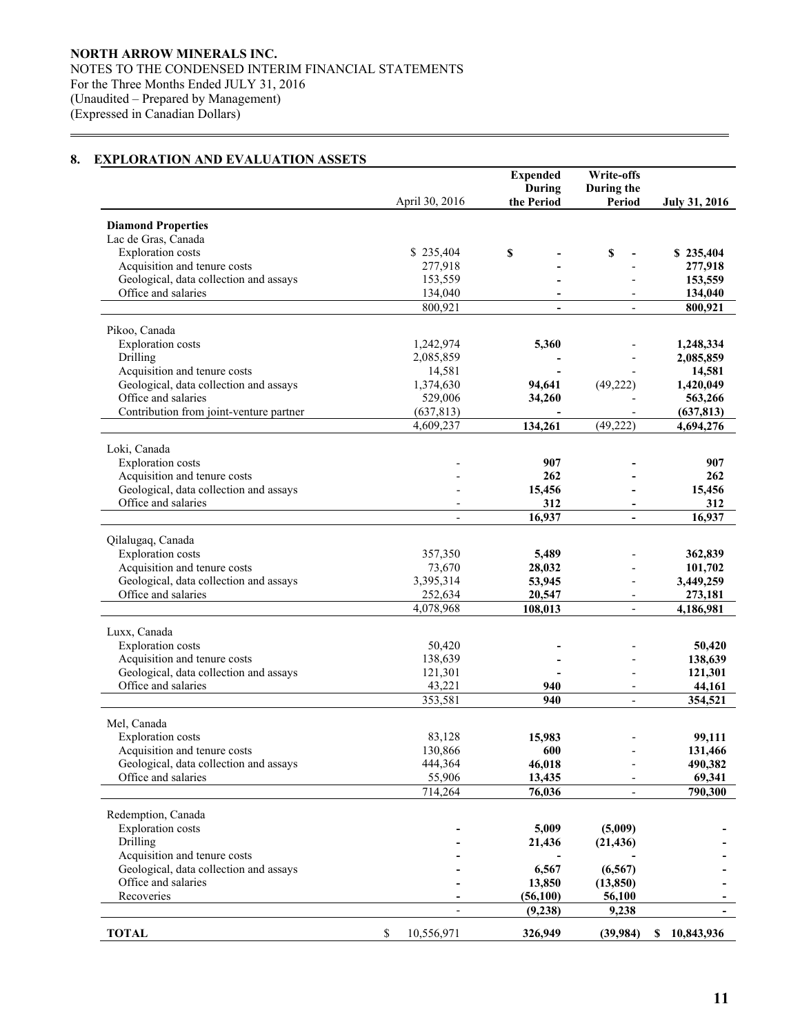# **8. EXPLORATION AND EVALUATION ASSETS**

 $\overline{a}$ 

|                                                               |                      | <b>Expended</b><br>During | Write-offs<br>During the |                      |
|---------------------------------------------------------------|----------------------|---------------------------|--------------------------|----------------------|
|                                                               | April 30, 2016       | the Period                | Period                   | <b>July 31, 2016</b> |
|                                                               |                      |                           |                          |                      |
| <b>Diamond Properties</b>                                     |                      |                           |                          |                      |
| Lac de Gras, Canada                                           |                      |                           |                          |                      |
| <b>Exploration</b> costs                                      | \$235,404            | \$                        | \$                       | \$235,404            |
| Acquisition and tenure costs                                  | 277,918              |                           |                          | 277,918              |
| Geological, data collection and assays<br>Office and salaries | 153,559<br>134,040   |                           |                          | 153,559              |
|                                                               | 800,921              | -                         |                          | 134,040<br>800,921   |
|                                                               |                      |                           |                          |                      |
| Pikoo, Canada                                                 |                      |                           |                          |                      |
| <b>Exploration</b> costs                                      | 1,242,974            | 5,360                     |                          | 1,248,334            |
| Drilling                                                      | 2,085,859            |                           |                          | 2,085,859            |
| Acquisition and tenure costs                                  | 14,581               |                           |                          | 14,581               |
| Geological, data collection and assays                        | 1,374,630            | 94,641                    | (49, 222)                | 1,420,049            |
| Office and salaries                                           | 529,006              | 34,260                    |                          | 563,266              |
| Contribution from joint-venture partner                       | (637, 813)           |                           |                          | (637, 813)           |
|                                                               | 4,609,237            | 134,261                   | (49, 222)                | 4,694,276            |
| Loki, Canada                                                  |                      |                           |                          |                      |
| <b>Exploration</b> costs                                      |                      | 907                       |                          | 907                  |
| Acquisition and tenure costs                                  |                      | 262                       |                          | 262                  |
| Geological, data collection and assays                        |                      | 15,456                    |                          | 15,456               |
| Office and salaries                                           |                      | 312                       |                          | 312                  |
|                                                               |                      | 16,937                    |                          | 16,937               |
|                                                               |                      |                           |                          |                      |
| Qilalugaq, Canada                                             |                      |                           |                          |                      |
| <b>Exploration</b> costs                                      | 357,350              | 5,489                     |                          | 362,839              |
| Acquisition and tenure costs                                  | 73,670               | 28,032                    |                          | 101,702              |
| Geological, data collection and assays                        | 3,395,314            | 53,945                    |                          | 3,449,259            |
| Office and salaries                                           | 252,634<br>4,078,968 | 20,547                    |                          | 273,181              |
|                                                               |                      | 108,013                   | $\overline{\phantom{a}}$ | 4,186,981            |
| Luxx, Canada                                                  |                      |                           |                          |                      |
| <b>Exploration</b> costs                                      | 50,420               |                           |                          | 50,420               |
| Acquisition and tenure costs                                  | 138,639              |                           |                          | 138,639              |
| Geological, data collection and assays                        | 121,301              |                           |                          | 121,301              |
| Office and salaries                                           | 43,221               | 940                       |                          | 44,161               |
|                                                               | 353,581              | 940                       | $\overline{\phantom{a}}$ | 354,521              |
| Mel, Canada                                                   |                      |                           |                          |                      |
| <b>Exploration</b> costs                                      | 83,128               | 15,983                    |                          | 99,111               |
| Acquisition and tenure costs                                  | 130,866              | 600                       |                          | 131,466              |
| Geological, data collection and assays                        | 444,364              | 46,018                    |                          | 490,382              |
| Office and salaries                                           | 55,906               | 13,435                    |                          | 69,341               |
|                                                               | 714,264              | 76,036                    |                          | 790,300              |
|                                                               |                      |                           |                          |                      |
| Redemption, Canada                                            |                      |                           |                          |                      |
| <b>Exploration</b> costs                                      |                      | 5,009                     | (5,009)                  |                      |
| Drilling                                                      |                      | 21,436                    | (21, 436)                |                      |
| Acquisition and tenure costs                                  |                      |                           |                          |                      |
| Geological, data collection and assays                        |                      | 6,567                     | (6, 567)                 |                      |
| Office and salaries<br>Recoveries                             |                      | 13,850                    | (13, 850)                |                      |
|                                                               |                      | (56, 100)<br>(9,238)      | 56,100<br>9,238          |                      |
|                                                               |                      |                           |                          |                      |
| <b>TOTAL</b>                                                  | \$<br>10,556,971     | 326,949                   | (39, 984)                | \$10,843,936         |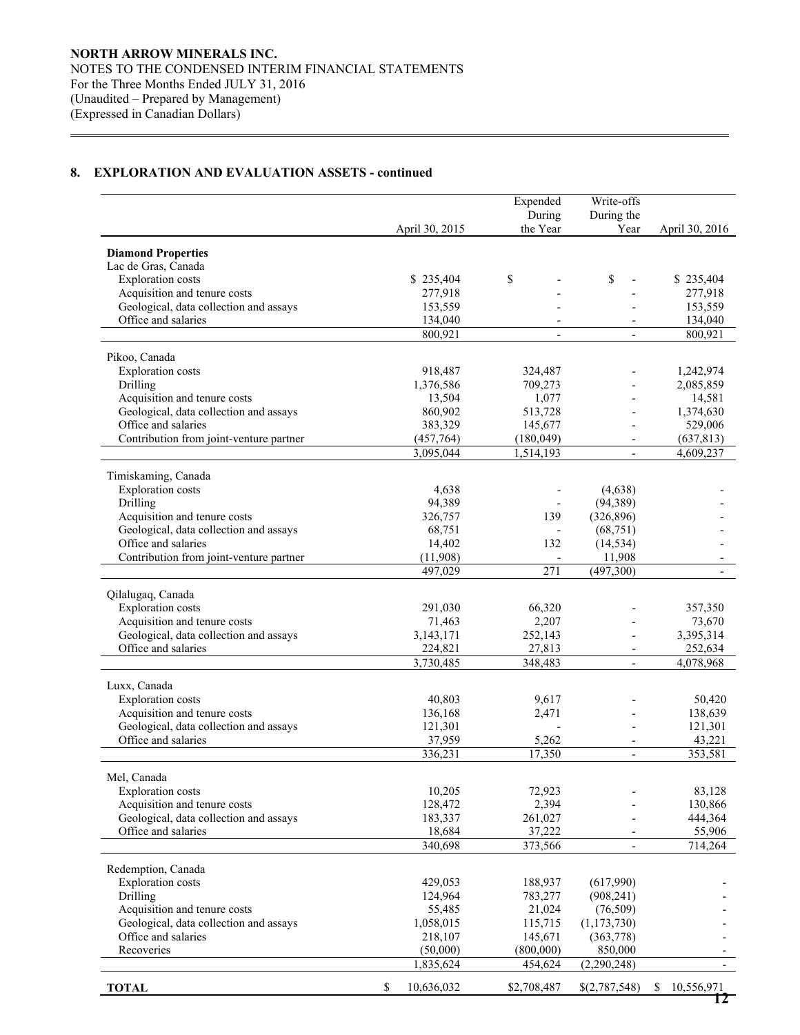$\overline{a}$ 

|                                                          |                       | Expended                 | Write-offs               |                   |
|----------------------------------------------------------|-----------------------|--------------------------|--------------------------|-------------------|
|                                                          |                       | During                   | During the               |                   |
|                                                          | April 30, 2015        | the Year                 | Year                     | April 30, 2016    |
| <b>Diamond Properties</b>                                |                       |                          |                          |                   |
| Lac de Gras, Canada                                      |                       |                          |                          |                   |
| <b>Exploration</b> costs                                 | \$235,404             | \$                       | \$                       | \$235,404         |
| Acquisition and tenure costs                             | 277,918               |                          |                          | 277,918           |
| Geological, data collection and assays                   | 153,559               |                          |                          | 153,559           |
| Office and salaries                                      | 134,040               |                          |                          | 134,040           |
|                                                          | 800,921               | $\overline{\phantom{a}}$ | $\overline{\phantom{a}}$ | 800,921           |
| Pikoo, Canada                                            |                       |                          |                          |                   |
| <b>Exploration</b> costs                                 | 918,487               | 324,487                  |                          | 1,242,974         |
| Drilling                                                 | 1,376,586             | 709,273                  |                          | 2,085,859         |
| Acquisition and tenure costs                             | 13,504                | 1,077                    | $\overline{\phantom{a}}$ | 14,581            |
| Geological, data collection and assays                   | 860,902               | 513,728                  | $\overline{\phantom{a}}$ | 1,374,630         |
| Office and salaries                                      | 383,329               | 145,677                  | $\overline{\phantom{a}}$ | 529,006           |
| Contribution from joint-venture partner                  | (457,764)             | (180, 049)               |                          | (637, 813)        |
|                                                          | 3,095,044             | 1,514,193                | $\overline{\phantom{a}}$ | 4,609,237         |
| Timiskaming, Canada                                      |                       |                          |                          |                   |
| <b>Exploration</b> costs                                 | 4,638                 |                          | (4,638)                  |                   |
| Drilling                                                 | 94,389                |                          | (94, 389)                |                   |
| Acquisition and tenure costs                             | 326,757               | 139                      | (326, 896)               |                   |
| Geological, data collection and assays                   | 68,751                |                          | (68, 751)                |                   |
| Office and salaries                                      | 14,402                | 132                      | (14, 534)                |                   |
| Contribution from joint-venture partner                  | (11,908)              |                          | 11,908                   |                   |
|                                                          | 497,029               | $\overline{271}$         | (497,300)                |                   |
|                                                          |                       |                          |                          |                   |
| Qilalugaq, Canada<br><b>Exploration</b> costs            |                       |                          |                          |                   |
| Acquisition and tenure costs                             | 291,030<br>71,463     | 66,320<br>2,207          |                          | 357,350<br>73,670 |
| Geological, data collection and assays                   | 3,143,171             | 252,143                  |                          | 3,395,314         |
| Office and salaries                                      | 224,821               | 27,813                   | $\overline{\phantom{a}}$ | 252,634           |
|                                                          | 3,730,485             | 348,483                  | $\overline{\phantom{a}}$ | 4,078,968         |
|                                                          |                       |                          |                          |                   |
| Luxx, Canada                                             |                       |                          |                          |                   |
| <b>Exploration</b> costs<br>Acquisition and tenure costs | 40,803<br>136,168     | 9,617<br>2,471           |                          | 50,420<br>138,639 |
| Geological, data collection and assays                   | 121,301               |                          |                          | 121,301           |
| Office and salaries                                      | 37,959                | 5,262                    |                          | 43,221            |
|                                                          | 336,231               | 17,350                   | $\overline{a}$           | 353,581           |
|                                                          |                       |                          |                          |                   |
| Mel, Canada                                              |                       |                          |                          |                   |
| <b>Exploration</b> costs                                 | 10,205                | 72,923                   |                          | 83,128            |
| Acquisition and tenure costs                             | 128,472               | 2,394                    |                          | 130,866           |
| Geological, data collection and assays                   | 183,337               | 261,027                  |                          | 444,364           |
| Office and salaries                                      | 18,684                | 37,222                   |                          | 55,906            |
|                                                          | 340,698               | 373,566                  | $\blacksquare$           | 714,264           |
| Redemption, Canada                                       |                       |                          |                          |                   |
| <b>Exploration</b> costs                                 | 429,053               | 188,937                  | (617,990)                |                   |
| Drilling                                                 | 124,964               | 783,277                  | (908, 241)               |                   |
| Acquisition and tenure costs                             | 55,485                | 21,024                   | (76, 509)                |                   |
| Geological, data collection and assays                   | 1,058,015             | 115,715                  | (1, 173, 730)            |                   |
| Office and salaries                                      | 218,107               | 145,671                  | (363,778)                |                   |
| Recoveries                                               | (50,000)<br>1,835,624 | (800,000)<br>454,624     | 850,000<br>(2,290,248)   |                   |
|                                                          |                       |                          |                          |                   |
| <b>TOTAL</b>                                             | \$<br>10,636,032      | \$2,708,487              | \$(2,787,548)            | \$<br>10,556,971  |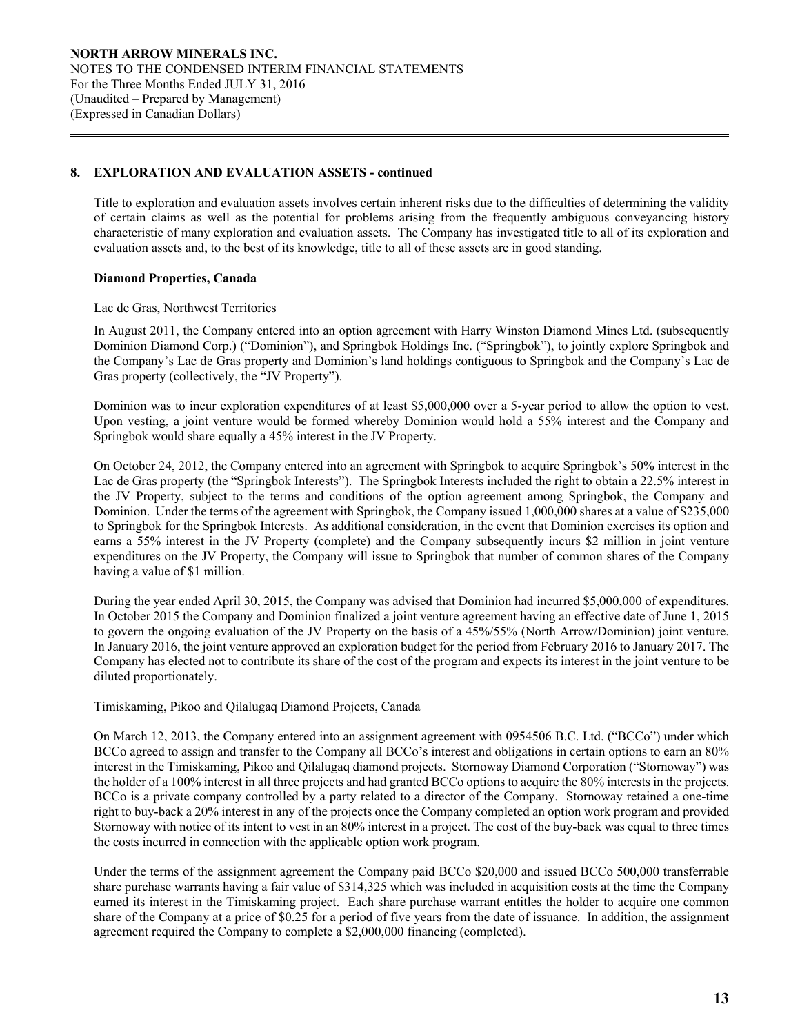Title to exploration and evaluation assets involves certain inherent risks due to the difficulties of determining the validity of certain claims as well as the potential for problems arising from the frequently ambiguous conveyancing history characteristic of many exploration and evaluation assets. The Company has investigated title to all of its exploration and evaluation assets and, to the best of its knowledge, title to all of these assets are in good standing.

# **Diamond Properties, Canada**

 $\overline{a}$ 

Lac de Gras, Northwest Territories

In August 2011, the Company entered into an option agreement with Harry Winston Diamond Mines Ltd. (subsequently Dominion Diamond Corp.) ("Dominion"), and Springbok Holdings Inc. ("Springbok"), to jointly explore Springbok and the Company's Lac de Gras property and Dominion's land holdings contiguous to Springbok and the Company's Lac de Gras property (collectively, the "JV Property").

Dominion was to incur exploration expenditures of at least \$5,000,000 over a 5-year period to allow the option to vest. Upon vesting, a joint venture would be formed whereby Dominion would hold a 55% interest and the Company and Springbok would share equally a 45% interest in the JV Property.

On October 24, 2012, the Company entered into an agreement with Springbok to acquire Springbok's 50% interest in the Lac de Gras property (the "Springbok Interests"). The Springbok Interests included the right to obtain a 22.5% interest in the JV Property, subject to the terms and conditions of the option agreement among Springbok, the Company and Dominion. Under the terms of the agreement with Springbok, the Company issued 1,000,000 shares at a value of \$235,000 to Springbok for the Springbok Interests. As additional consideration, in the event that Dominion exercises its option and earns a 55% interest in the JV Property (complete) and the Company subsequently incurs \$2 million in joint venture expenditures on the JV Property, the Company will issue to Springbok that number of common shares of the Company having a value of \$1 million.

During the year ended April 30, 2015, the Company was advised that Dominion had incurred \$5,000,000 of expenditures. In October 2015 the Company and Dominion finalized a joint venture agreement having an effective date of June 1, 2015 to govern the ongoing evaluation of the JV Property on the basis of a 45%/55% (North Arrow/Dominion) joint venture. In January 2016, the joint venture approved an exploration budget for the period from February 2016 to January 2017. The Company has elected not to contribute its share of the cost of the program and expects its interest in the joint venture to be diluted proportionately.

Timiskaming, Pikoo and Qilalugaq Diamond Projects, Canada

On March 12, 2013, the Company entered into an assignment agreement with 0954506 B.C. Ltd. ("BCCo") under which BCCo agreed to assign and transfer to the Company all BCCo's interest and obligations in certain options to earn an 80% interest in the Timiskaming, Pikoo and Qilalugaq diamond projects. Stornoway Diamond Corporation ("Stornoway") was the holder of a 100% interest in all three projects and had granted BCCo options to acquire the 80% interests in the projects. BCCo is a private company controlled by a party related to a director of the Company. Stornoway retained a one-time right to buy-back a 20% interest in any of the projects once the Company completed an option work program and provided Stornoway with notice of its intent to vest in an 80% interest in a project. The cost of the buy-back was equal to three times the costs incurred in connection with the applicable option work program.

Under the terms of the assignment agreement the Company paid BCCo \$20,000 and issued BCCo 500,000 transferrable share purchase warrants having a fair value of \$314,325 which was included in acquisition costs at the time the Company earned its interest in the Timiskaming project. Each share purchase warrant entitles the holder to acquire one common share of the Company at a price of \$0.25 for a period of five years from the date of issuance. In addition, the assignment agreement required the Company to complete a \$2,000,000 financing (completed).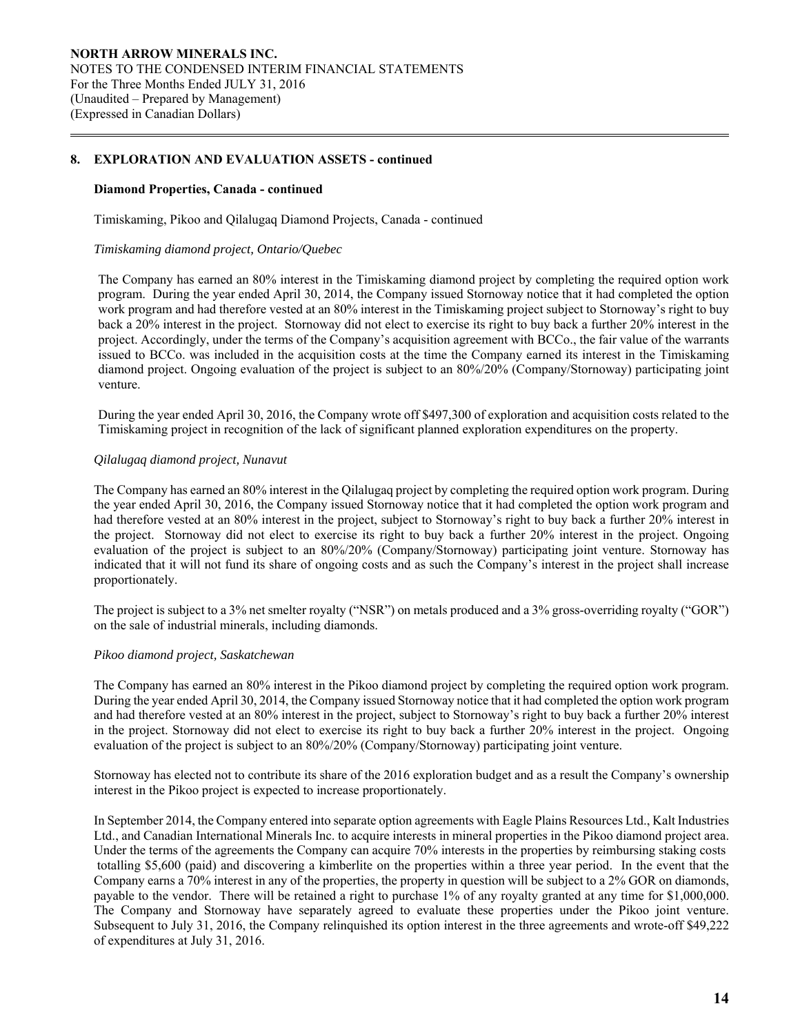#### **Diamond Properties, Canada - continued**

 $\overline{a}$ 

Timiskaming, Pikoo and Qilalugaq Diamond Projects, Canada - continued

#### *Timiskaming diamond project, Ontario/Quebec*

The Company has earned an 80% interest in the Timiskaming diamond project by completing the required option work program. During the year ended April 30, 2014, the Company issued Stornoway notice that it had completed the option work program and had therefore vested at an 80% interest in the Timiskaming project subject to Stornoway's right to buy back a 20% interest in the project. Stornoway did not elect to exercise its right to buy back a further 20% interest in the project. Accordingly, under the terms of the Company's acquisition agreement with BCCo., the fair value of the warrants issued to BCCo. was included in the acquisition costs at the time the Company earned its interest in the Timiskaming diamond project. Ongoing evaluation of the project is subject to an 80%/20% (Company/Stornoway) participating joint venture.

During the year ended April 30, 2016, the Company wrote off \$497,300 of exploration and acquisition costs related to the Timiskaming project in recognition of the lack of significant planned exploration expenditures on the property.

## *Qilalugaq diamond project, Nunavut*

The Company has earned an 80% interest in the Qilalugaq project by completing the required option work program. During the year ended April 30, 2016, the Company issued Stornoway notice that it had completed the option work program and had therefore vested at an 80% interest in the project, subject to Stornoway's right to buy back a further 20% interest in the project. Stornoway did not elect to exercise its right to buy back a further 20% interest in the project. Ongoing evaluation of the project is subject to an 80%/20% (Company/Stornoway) participating joint venture. Stornoway has indicated that it will not fund its share of ongoing costs and as such the Company's interest in the project shall increase proportionately.

The project is subject to a 3% net smelter royalty ("NSR") on metals produced and a 3% gross-overriding royalty ("GOR") on the sale of industrial minerals, including diamonds.

#### *Pikoo diamond project, Saskatchewan*

The Company has earned an 80% interest in the Pikoo diamond project by completing the required option work program. During the year ended April 30, 2014, the Company issued Stornoway notice that it had completed the option work program and had therefore vested at an 80% interest in the project, subject to Stornoway's right to buy back a further 20% interest in the project. Stornoway did not elect to exercise its right to buy back a further 20% interest in the project. Ongoing evaluation of the project is subject to an 80%/20% (Company/Stornoway) participating joint venture.

Stornoway has elected not to contribute its share of the 2016 exploration budget and as a result the Company's ownership interest in the Pikoo project is expected to increase proportionately.

In September 2014, the Company entered into separate option agreements with Eagle Plains Resources Ltd., Kalt Industries Ltd., and Canadian International Minerals Inc. to acquire interests in mineral properties in the Pikoo diamond project area. Under the terms of the agreements the Company can acquire 70% interests in the properties by reimbursing staking costs totalling \$5,600 (paid) and discovering a kimberlite on the properties within a three year period. In the event that the Company earns a 70% interest in any of the properties, the property in question will be subject to a 2% GOR on diamonds, payable to the vendor. There will be retained a right to purchase 1% of any royalty granted at any time for \$1,000,000. The Company and Stornoway have separately agreed to evaluate these properties under the Pikoo joint venture. Subsequent to July 31, 2016, the Company relinquished its option interest in the three agreements and wrote-off \$49,222 of expenditures at July 31, 2016.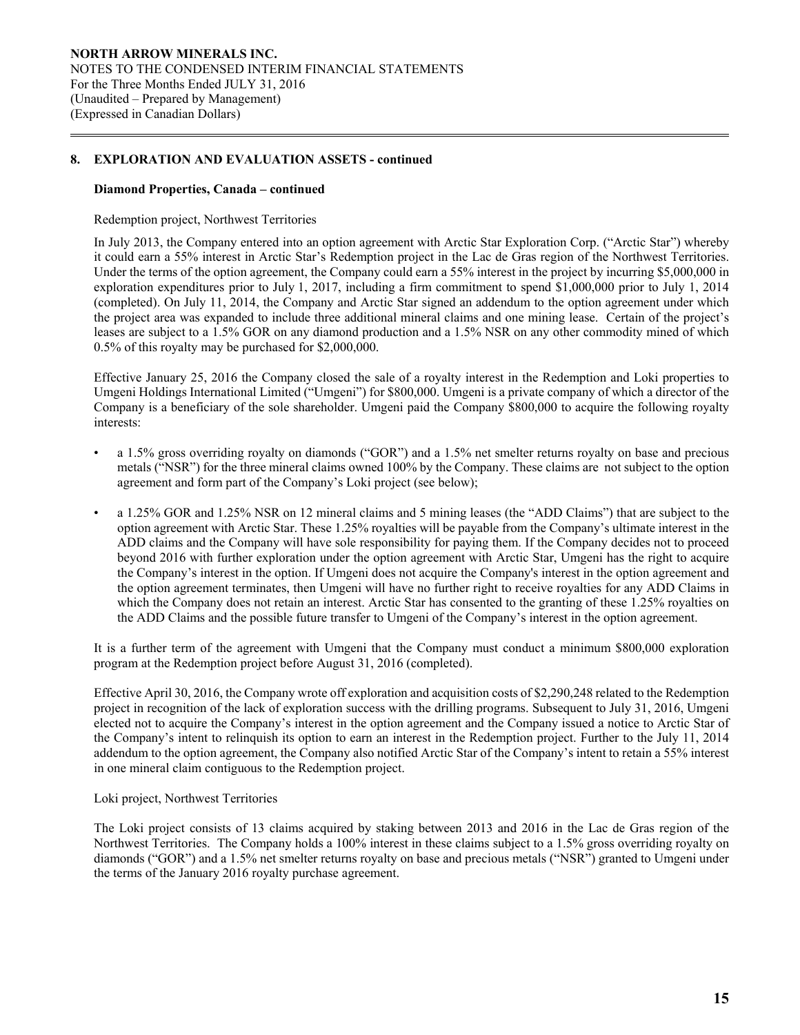#### **Diamond Properties, Canada – continued**

 $\overline{a}$ 

# Redemption project, Northwest Territories

In July 2013, the Company entered into an option agreement with Arctic Star Exploration Corp. ("Arctic Star") whereby it could earn a 55% interest in Arctic Star's Redemption project in the Lac de Gras region of the Northwest Territories. Under the terms of the option agreement, the Company could earn a 55% interest in the project by incurring \$5,000,000 in exploration expenditures prior to July 1, 2017, including a firm commitment to spend \$1,000,000 prior to July 1, 2014 (completed). On July 11, 2014, the Company and Arctic Star signed an addendum to the option agreement under which the project area was expanded to include three additional mineral claims and one mining lease. Certain of the project's leases are subject to a 1.5% GOR on any diamond production and a 1.5% NSR on any other commodity mined of which 0.5% of this royalty may be purchased for \$2,000,000.

Effective January 25, 2016 the Company closed the sale of a royalty interest in the Redemption and Loki properties to Umgeni Holdings International Limited ("Umgeni") for \$800,000. Umgeni is a private company of which a director of the Company is a beneficiary of the sole shareholder. Umgeni paid the Company \$800,000 to acquire the following royalty interests:

- a 1.5% gross overriding royalty on diamonds ("GOR") and a 1.5% net smelter returns royalty on base and precious metals ("NSR") for the three mineral claims owned 100% by the Company. These claims are not subject to the option agreement and form part of the Company's Loki project (see below);
- a 1.25% GOR and 1.25% NSR on 12 mineral claims and 5 mining leases (the "ADD Claims") that are subject to the option agreement with Arctic Star. These 1.25% royalties will be payable from the Company's ultimate interest in the ADD claims and the Company will have sole responsibility for paying them. If the Company decides not to proceed beyond 2016 with further exploration under the option agreement with Arctic Star, Umgeni has the right to acquire the Company's interest in the option. If Umgeni does not acquire the Company's interest in the option agreement and the option agreement terminates, then Umgeni will have no further right to receive royalties for any ADD Claims in which the Company does not retain an interest. Arctic Star has consented to the granting of these 1.25% royalties on the ADD Claims and the possible future transfer to Umgeni of the Company's interest in the option agreement.

It is a further term of the agreement with Umgeni that the Company must conduct a minimum \$800,000 exploration program at the Redemption project before August 31, 2016 (completed).

Effective April 30, 2016, the Company wrote off exploration and acquisition costs of \$2,290,248 related to the Redemption project in recognition of the lack of exploration success with the drilling programs. Subsequent to July 31, 2016, Umgeni elected not to acquire the Company's interest in the option agreement and the Company issued a notice to Arctic Star of the Company's intent to relinquish its option to earn an interest in the Redemption project. Further to the July 11, 2014 addendum to the option agreement, the Company also notified Arctic Star of the Company's intent to retain a 55% interest in one mineral claim contiguous to the Redemption project.

## Loki project, Northwest Territories

The Loki project consists of 13 claims acquired by staking between 2013 and 2016 in the Lac de Gras region of the Northwest Territories. The Company holds a 100% interest in these claims subject to a 1.5% gross overriding royalty on diamonds ("GOR") and a 1.5% net smelter returns royalty on base and precious metals ("NSR") granted to Umgeni under the terms of the January 2016 royalty purchase agreement.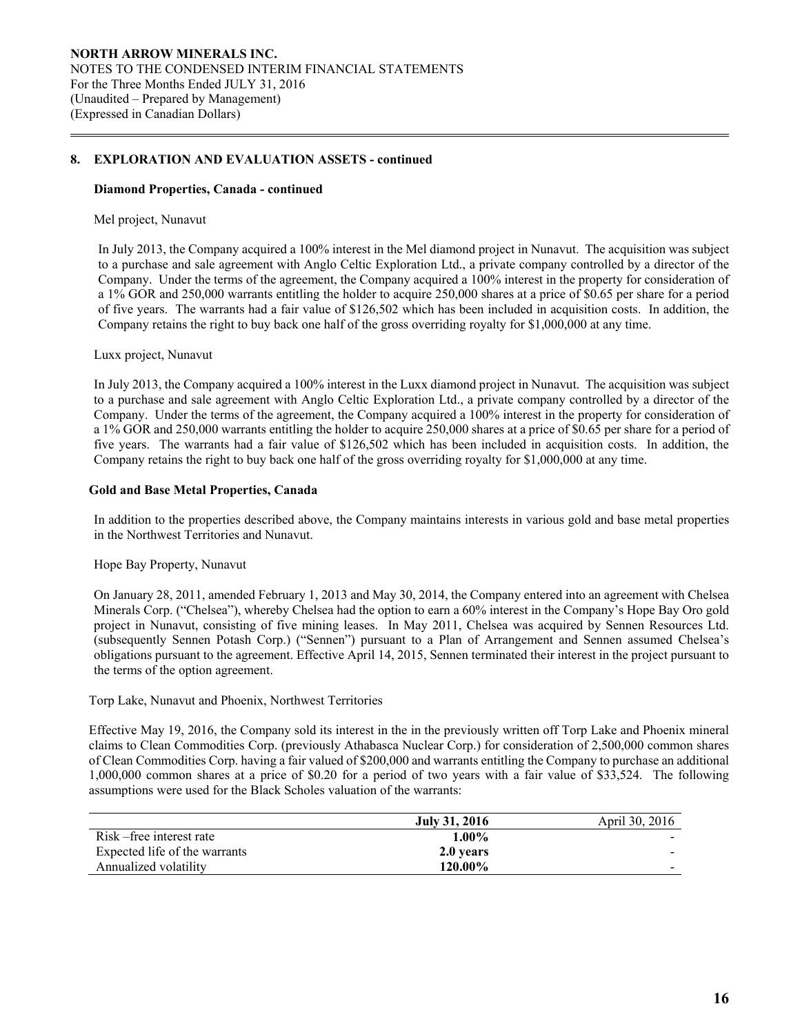#### **Diamond Properties, Canada - continued**

#### Mel project, Nunavut

 $\overline{a}$ 

In July 2013, the Company acquired a 100% interest in the Mel diamond project in Nunavut. The acquisition was subject to a purchase and sale agreement with Anglo Celtic Exploration Ltd., a private company controlled by a director of the Company. Under the terms of the agreement, the Company acquired a 100% interest in the property for consideration of a 1% GOR and 250,000 warrants entitling the holder to acquire 250,000 shares at a price of \$0.65 per share for a period of five years. The warrants had a fair value of \$126,502 which has been included in acquisition costs. In addition, the Company retains the right to buy back one half of the gross overriding royalty for \$1,000,000 at any time.

#### Luxx project, Nunavut

In July 2013, the Company acquired a 100% interest in the Luxx diamond project in Nunavut. The acquisition was subject to a purchase and sale agreement with Anglo Celtic Exploration Ltd., a private company controlled by a director of the Company. Under the terms of the agreement, the Company acquired a 100% interest in the property for consideration of a 1% GOR and 250,000 warrants entitling the holder to acquire 250,000 shares at a price of \$0.65 per share for a period of five years. The warrants had a fair value of \$126,502 which has been included in acquisition costs. In addition, the Company retains the right to buy back one half of the gross overriding royalty for \$1,000,000 at any time.

#### **Gold and Base Metal Properties, Canada**

 In addition to the properties described above, the Company maintains interests in various gold and base metal properties in the Northwest Territories and Nunavut.

#### Hope Bay Property, Nunavut

On January 28, 2011, amended February 1, 2013 and May 30, 2014, the Company entered into an agreement with Chelsea Minerals Corp. ("Chelsea"), whereby Chelsea had the option to earn a 60% interest in the Company's Hope Bay Oro gold project in Nunavut, consisting of five mining leases. In May 2011, Chelsea was acquired by Sennen Resources Ltd. (subsequently Sennen Potash Corp.) ("Sennen") pursuant to a Plan of Arrangement and Sennen assumed Chelsea's obligations pursuant to the agreement. Effective April 14, 2015, Sennen terminated their interest in the project pursuant to the terms of the option agreement.

Torp Lake, Nunavut and Phoenix, Northwest Territories

Effective May 19, 2016, the Company sold its interest in the in the previously written off Torp Lake and Phoenix mineral claims to Clean Commodities Corp. (previously Athabasca Nuclear Corp.) for consideration of 2,500,000 common shares of Clean Commodities Corp. having a fair valued of \$200,000 and warrants entitling the Company to purchase an additional 1,000,000 common shares at a price of \$0.20 for a period of two years with a fair value of \$33,524. The following assumptions were used for the Black Scholes valuation of the warrants:

|                               | July 31, 2016 | April 30, 2016           |
|-------------------------------|---------------|--------------------------|
| Risk – free interest rate     | $1.00\%$      |                          |
| Expected life of the warrants | 2.0 years     |                          |
| Annualized volatility         | 120.00%       | $\overline{\phantom{0}}$ |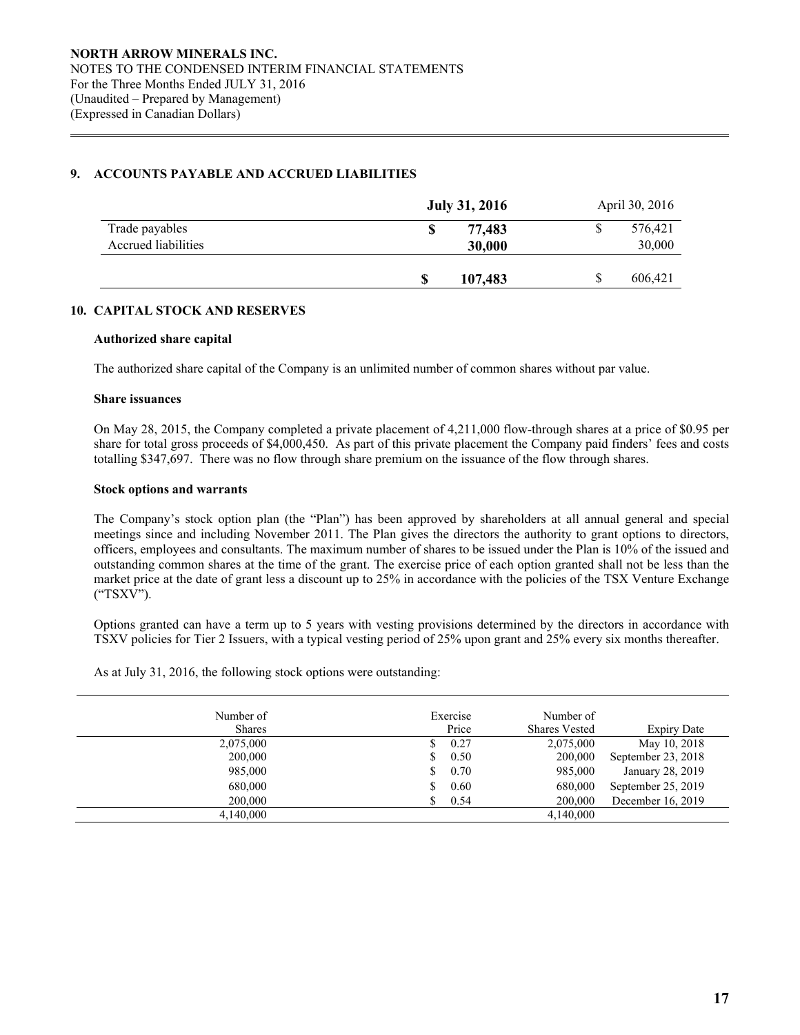# **9. ACCOUNTS PAYABLE AND ACCRUED LIABILITIES**

|                     | <b>July 31, 2016</b> |         | April 30, 2016 |
|---------------------|----------------------|---------|----------------|
| Trade payables      | S                    | 77,483  | 576,421        |
| Accrued liabilities |                      | 30,000  | 30,000         |
|                     | S                    | 107,483 | 606,421        |

# **10. CAPITAL STOCK AND RESERVES**

# **Authorized share capital**

The authorized share capital of the Company is an unlimited number of common shares without par value.

# **Share issuances**

 $\overline{a}$ 

On May 28, 2015, the Company completed a private placement of 4,211,000 flow-through shares at a price of \$0.95 per share for total gross proceeds of \$4,000,450. As part of this private placement the Company paid finders' fees and costs totalling \$347,697. There was no flow through share premium on the issuance of the flow through shares.

# **Stock options and warrants**

 The Company's stock option plan (the "Plan") has been approved by shareholders at all annual general and special meetings since and including November 2011. The Plan gives the directors the authority to grant options to directors, officers, employees and consultants. The maximum number of shares to be issued under the Plan is 10% of the issued and outstanding common shares at the time of the grant. The exercise price of each option granted shall not be less than the market price at the date of grant less a discount up to 25% in accordance with the policies of the TSX Venture Exchange ("TSXV").

Options granted can have a term up to 5 years with vesting provisions determined by the directors in accordance with TSXV policies for Tier 2 Issuers, with a typical vesting period of 25% upon grant and 25% every six months thereafter.

As at July 31, 2016, the following stock options were outstanding:

| Number of<br><b>Shares</b> | Exercise<br>Price | Number of<br><b>Shares Vested</b> | Expiry Date        |
|----------------------------|-------------------|-----------------------------------|--------------------|
| 2,075,000                  | 0.27              | 2,075,000                         | May 10, 2018       |
| 200,000                    | 0.50              | 200,000                           | September 23, 2018 |
| 985,000                    | 0.70              | 985,000                           | January 28, 2019   |
| 680,000                    | 0.60              | 680,000                           | September 25, 2019 |
| 200,000                    | 0.54              | 200,000                           | December 16, 2019  |
| 4,140,000                  |                   | 4,140,000                         |                    |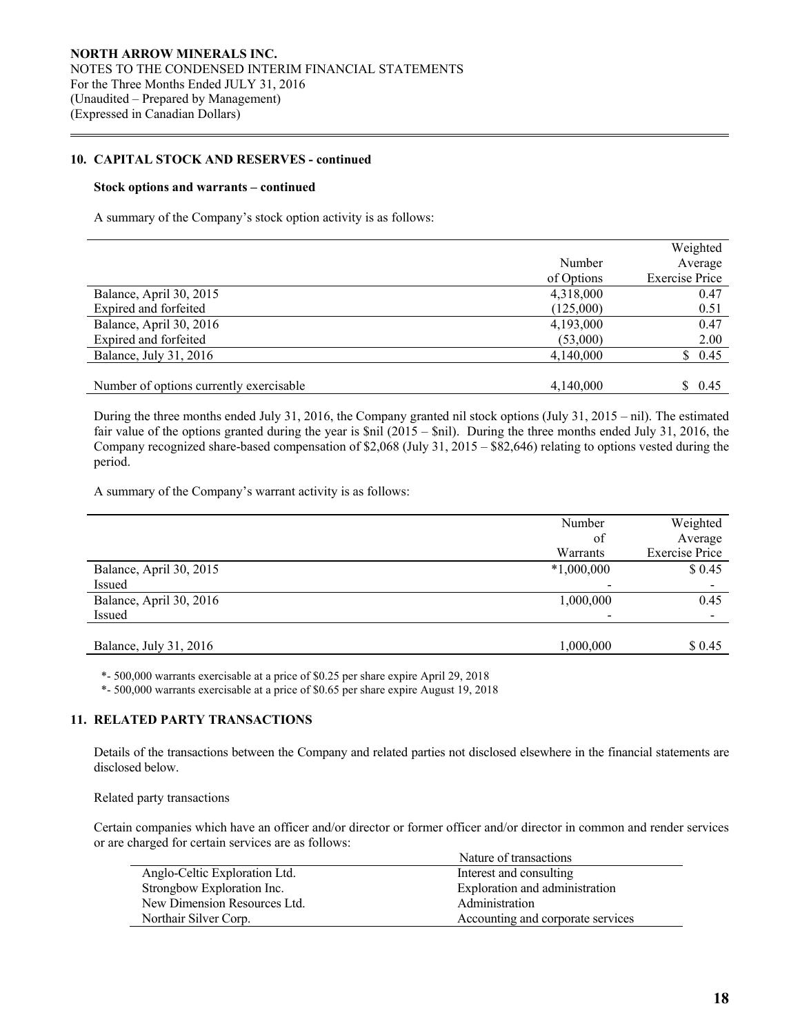## **10. CAPITAL STOCK AND RESERVES - continued**

#### **Stock options and warrants – continued**

 $\overline{a}$ 

A summary of the Company's stock option activity is as follows:

|                                         |            | Weighted              |
|-----------------------------------------|------------|-----------------------|
|                                         | Number     | Average               |
|                                         | of Options | <b>Exercise Price</b> |
| Balance, April 30, 2015                 | 4,318,000  | 0.47                  |
| Expired and forfeited                   | (125,000)  | 0.51                  |
| Balance, April 30, 2016                 | 4,193,000  | 0.47                  |
| Expired and forfeited                   | (53,000)   | 2.00                  |
| Balance, July 31, 2016                  | 4,140,000  | \$0.45                |
|                                         |            |                       |
| Number of options currently exercisable | 4,140,000  | \$0.45                |

During the three months ended July 31, 2016, the Company granted nil stock options (July 31, 2015 – nil). The estimated fair value of the options granted during the year is \$nil (2015 – \$nil). During the three months ended July 31, 2016, the Company recognized share-based compensation of \$2,068 (July 31, 2015 – \$82,646) relating to options vested during the period.

A summary of the Company's warrant activity is as follows:

|                         | Number       | Weighted              |
|-------------------------|--------------|-----------------------|
|                         | of           | Average               |
|                         | Warrants     | <b>Exercise Price</b> |
| Balance, April 30, 2015 | $*1,000,000$ | \$0.45                |
| Issued                  |              |                       |
| Balance, April 30, 2016 | 1,000,000    | 0.45                  |
| Issued                  |              |                       |
|                         |              |                       |
| Balance, July 31, 2016  | 1,000,000    | \$ 0.45               |

\*- 500,000 warrants exercisable at a price of \$0.25 per share expire April 29, 2018

\*- 500,000 warrants exercisable at a price of \$0.65 per share expire August 19, 2018

# **11. RELATED PARTY TRANSACTIONS**

 Details of the transactions between the Company and related parties not disclosed elsewhere in the financial statements are disclosed below.

Related party transactions

Certain companies which have an officer and/or director or former officer and/or director in common and render services or are charged for certain services are as follows:

|                               | Nature of transactions            |
|-------------------------------|-----------------------------------|
| Anglo-Celtic Exploration Ltd. | Interest and consulting           |
| Strongbow Exploration Inc.    | Exploration and administration    |
| New Dimension Resources Ltd.  | Administration                    |
| Northair Silver Corp.         | Accounting and corporate services |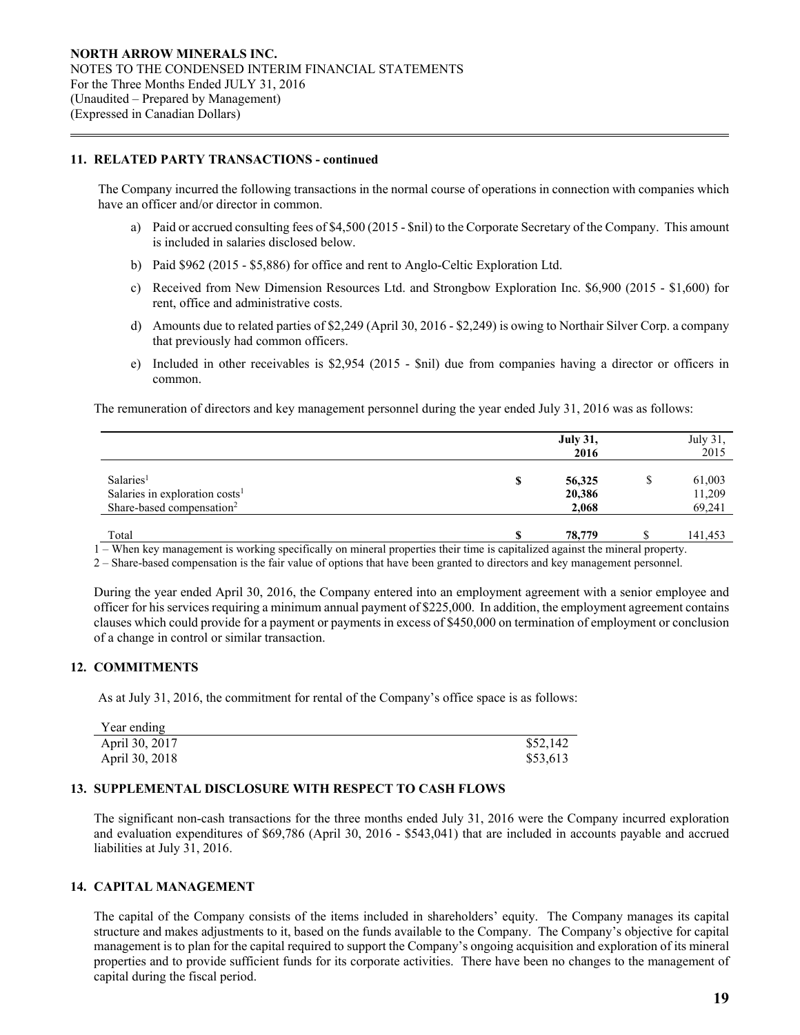# **11. RELATED PARTY TRANSACTIONS - continued**

 $\overline{a}$ 

The Company incurred the following transactions in the normal course of operations in connection with companies which have an officer and/or director in common.

- a) Paid or accrued consulting fees of \$4,500 (2015 \$nil) to the Corporate Secretary of the Company. This amount is included in salaries disclosed below.
- b) Paid \$962 (2015 \$5,886) for office and rent to Anglo-Celtic Exploration Ltd.
- c) Received from New Dimension Resources Ltd. and Strongbow Exploration Inc. \$6,900 (2015 \$1,600) for rent, office and administrative costs.
- d) Amounts due to related parties of \$2,249 (April 30, 2016 \$2,249) is owing to Northair Silver Corp. a company that previously had common officers.
- e) Included in other receivables is \$2,954 (2015 \$nil) due from companies having a director or officers in common.

The remuneration of directors and key management personnel during the year ended July 31, 2016 was as follows:

|                                            |    | <b>July 31,</b><br>2016 | July 31,<br>2015 |
|--------------------------------------------|----|-------------------------|------------------|
|                                            |    |                         |                  |
| Salaries <sup>1</sup>                      | \$ | 56,325                  | 61,003           |
| Salaries in exploration costs <sup>1</sup> |    | 20,386                  | 11,209           |
| Share-based compensation <sup>2</sup>      |    | 2,068                   | 69,241           |
| Total                                      | S  | 78,779                  | 141,453          |

1 – When key management is working specifically on mineral properties their time is capitalized against the mineral property.

2 – Share-based compensation is the fair value of options that have been granted to directors and key management personnel.

During the year ended April 30, 2016, the Company entered into an employment agreement with a senior employee and officer for his services requiring a minimum annual payment of \$225,000. In addition, the employment agreement contains clauses which could provide for a payment or payments in excess of \$450,000 on termination of employment or conclusion of a change in control or similar transaction.

# **12. COMMITMENTS**

As at July 31, 2016, the commitment for rental of the Company's office space is as follows:

| Year ending    |          |
|----------------|----------|
| April 30, 2017 | \$52,142 |
| April 30, 2018 | \$53,613 |

# **13. SUPPLEMENTAL DISCLOSURE WITH RESPECT TO CASH FLOWS**

The significant non-cash transactions for the three months ended July 31, 2016 were the Company incurred exploration and evaluation expenditures of \$69,786 (April 30, 2016 - \$543,041) that are included in accounts payable and accrued liabilities at July 31, 2016.

# **14. CAPITAL MANAGEMENT**

 The capital of the Company consists of the items included in shareholders' equity. The Company manages its capital structure and makes adjustments to it, based on the funds available to the Company. The Company's objective for capital management is to plan for the capital required to support the Company's ongoing acquisition and exploration of its mineral properties and to provide sufficient funds for its corporate activities. There have been no changes to the management of capital during the fiscal period.